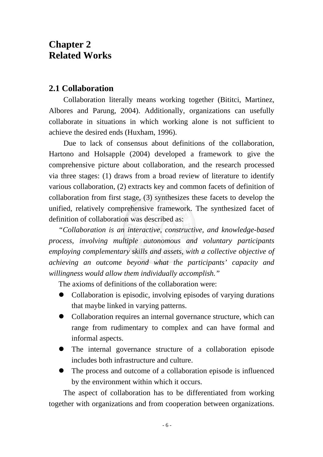# **Chapter 2 Related Works**

#### **2.1 Collaboration**

Collaboration literally means working together (Bititci, Martinez, Albores and Parung, 2004). Additionally, organizations can usefully collaborate in situations in which working alone is not sufficient to achieve the desired ends (Huxham, 1996).

Due to lack of consensus about definitions of the collaboration, Hartono and Holsapple (2004) developed a framework to give the comprehensive picture about collaboration, and the research processed via three stages: (1) draws from a broad review of literature to identify various collaboration, (2) extracts key and common facets of definition of collaboration from first stage, (3) synthesizes these facets to develop the unified, relatively comprehensive framework. The synthesized facet of definition of collaboration was described as:

*"Collaboration is an interactive, constructive, and knowledge-based process, involving multiple autonomous and voluntary participants employing complementary skills and assets, with a collective objective of achieving an outcome beyond what the participants' capacity and willingness would allow them individually accomplish."* 

The axioms of definitions of the collaboration were:

- $\bullet$  Collaboration is episodic, involving episodes of varying durations that maybe linked in varying patterns.
- Collaboration requires an internal governance structure, which can range from rudimentary to complex and can have formal and informal aspects.
- The internal governance structure of a collaboration episode includes both infrastructure and culture.
- The process and outcome of a collaboration episode is influenced by the environment within which it occurs.

The aspect of collaboration has to be differentiated from working together with organizations and from cooperation between organizations.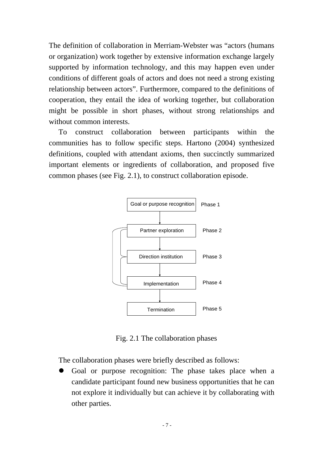The definition of collaboration in Merriam-Webster was "actors (humans or organization) work together by extensive information exchange largely supported by information technology, and this may happen even under conditions of different goals of actors and does not need a strong existing relationship between actors". Furthermore, compared to the definitions of cooperation, they entail the idea of working together, but collaboration might be possible in short phases, without strong relationships and without common interests.

To construct collaboration between participants within the communities has to follow specific steps. Hartono (2004) synthesized definitions, coupled with attendant axioms, then succinctly summarized important elements or ingredients of collaboration, and proposed five common phases (see Fig. 2.1), to construct collaboration episode.



Fig. 2.1 The collaboration phases

The collaboration phases were briefly described as follows:

Goal or purpose recognition: The phase takes place when a candidate participant found new business opportunities that he can not explore it individually but can achieve it by collaborating with other parties.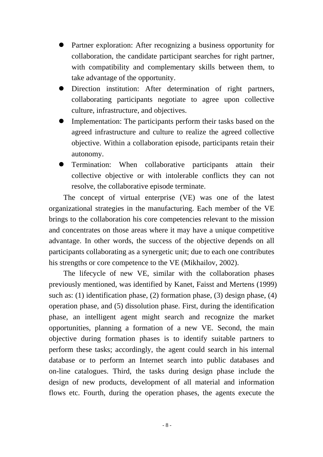- Partner exploration: After recognizing a business opportunity for collaboration, the candidate participant searches for right partner, with compatibility and complementary skills between them, to take advantage of the opportunity.
- Direction institution: After determination of right partners, collaborating participants negotiate to agree upon collective culture, infrastructure, and objectives.
- Implementation: The participants perform their tasks based on the agreed infrastructure and culture to realize the agreed collective objective. Within a collaboration episode, participants retain their autonomy.
- z Termination: When collaborative participants attain their collective objective or with intolerable conflicts they can not resolve, the collaborative episode terminate.

The concept of virtual enterprise (VE) was one of the latest organizational strategies in the manufacturing. Each member of the VE brings to the collaboration his core competencies relevant to the mission and concentrates on those areas where it may have a unique competitive advantage. In other words, the success of the objective depends on all participants collaborating as a synergetic unit; due to each one contributes his strengths or core competence to the VE (Mikhailov, 2002).

The lifecycle of new VE, similar with the collaboration phases previously mentioned, was identified by Kanet, Faisst and Mertens (1999) such as: (1) identification phase, (2) formation phase, (3) design phase, (4) operation phase, and (5) dissolution phase. First, during the identification phase, an intelligent agent might search and recognize the market opportunities, planning a formation of a new VE. Second, the main objective during formation phases is to identify suitable partners to perform these tasks; accordingly, the agent could search in his internal database or to perform an Internet search into public databases and on-line catalogues. Third, the tasks during design phase include the design of new products, development of all material and information flows etc. Fourth, during the operation phases, the agents execute the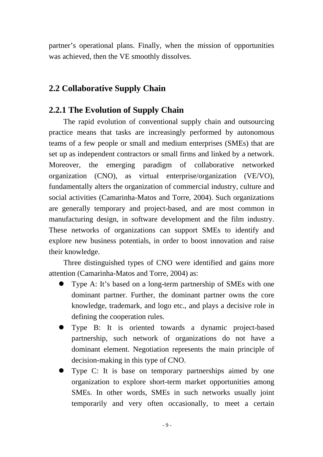partner's operational plans. Finally, when the mission of opportunities was achieved, then the VE smoothly dissolves.

# **2.2 Collaborative Supply Chain**

# **2.2.1 The Evolution of Supply Chain**

The rapid evolution of conventional supply chain and outsourcing practice means that tasks are increasingly performed by autonomous teams of a few people or small and medium enterprises (SMEs) that are set up as independent contractors or small firms and linked by a network. Moreover, the emerging paradigm of collaborative networked organization (CNO), as virtual enterprise/organization (VE/VO), fundamentally alters the organization of commercial industry, culture and social activities (Camarinha-Matos and Torre, 2004). Such organizations are generally temporary and project-based, and are most common in manufacturing design, in software development and the film industry. These networks of organizations can support SMEs to identify and explore new business potentials, in order to boost innovation and raise their knowledge.

Three distinguished types of CNO were identified and gains more attention (Camarinha-Matos and Torre, 2004) as:

- Type A: It's based on a long-term partnership of SMEs with one dominant partner. Further, the dominant partner owns the core knowledge, trademark, and logo etc., and plays a decisive role in defining the cooperation rules.
- Type B: It is oriented towards a dynamic project-based partnership, such network of organizations do not have a dominant element. Negotiation represents the main principle of decision-making in this type of CNO.
- Type C: It is base on temporary partnerships aimed by one organization to explore short-term market opportunities among SMEs. In other words, SMEs in such networks usually joint temporarily and very often occasionally, to meet a certain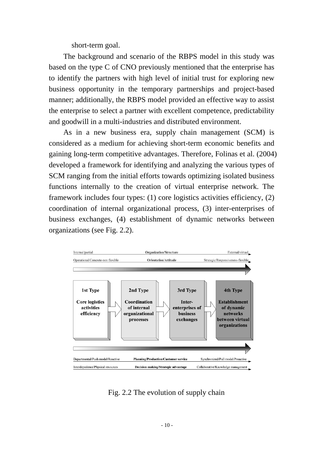short-term goal.

The background and scenario of the RBPS model in this study was based on the type C of CNO previously mentioned that the enterprise has to identify the partners with high level of initial trust for exploring new business opportunity in the temporary partnerships and project-based manner; additionally, the RBPS model provided an effective way to assist the enterprise to select a partner with excellent competence, predictability and goodwill in a multi-industries and distributed environment.

As in a new business era, supply chain management (SCM) is considered as a medium for achieving short-term economic benefits and gaining long-term competitive advantages. Therefore, Folinas et al. (2004) developed a framework for identifying and analyzing the various types of SCM ranging from the initial efforts towards optimizing isolated business functions internally to the creation of virtual enterprise network. The framework includes four types: (1) core logistics activities efficiency, (2) coordination of internal organizational process, (3) inter-enterprises of business exchanges, (4) establishment of dynamic networks between organizations (see Fig. 2.2).



Fig. 2.2 The evolution of supply chain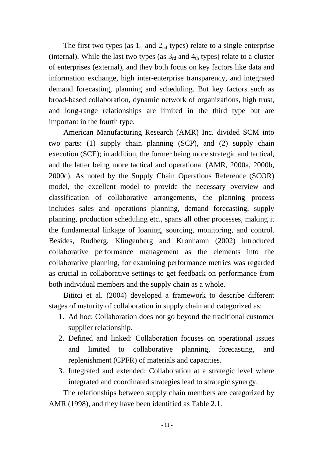The first two types (as  $1_{st}$  and  $2_{nd}$  types) relate to a single enterprise (internal). While the last two types (as  $3<sub>rd</sub>$  and  $4<sub>th</sub>$  types) relate to a cluster of enterprises (external), and they both focus on key factors like data and information exchange, high inter-enterprise transparency, and integrated demand forecasting, planning and scheduling. But key factors such as broad-based collaboration, dynamic network of organizations, high trust, and long-range relationships are limited in the third type but are important in the fourth type.

American Manufacturing Research (AMR) Inc. divided SCM into two parts: (1) supply chain planning (SCP), and (2) supply chain execution (SCE); in addition, the former being more strategic and tactical, and the latter being more tactical and operational (AMR, 2000a, 2000b, 2000c). As noted by the Supply Chain Operations Reference (SCOR) model, the excellent model to provide the necessary overview and classification of collaborative arrangements, the planning process includes sales and operations planning, demand forecasting, supply planning, production scheduling etc., spans all other processes, making it the fundamental linkage of loaning, sourcing, monitoring, and control. Besides, Rudberg, Klingenberg and Kronhamn (2002) introduced collaborative performance management as the elements into the collaborative planning, for examining performance metrics was regarded as crucial in collaborative settings to get feedback on performance from both individual members and the supply chain as a whole.

Bititci et al. (2004) developed a framework to describe different stages of maturity of collaboration in supply chain and categorized as:

- 1. Ad hoc: Collaboration does not go beyond the traditional customer supplier relationship.
- 2. Defined and linked: Collaboration focuses on operational issues and limited to collaborative planning, forecasting, and replenishment (CPFR) of materials and capacities.
- 3. Integrated and extended: Collaboration at a strategic level where integrated and coordinated strategies lead to strategic synergy.

The relationships between supply chain members are categorized by AMR (1998), and they have been identified as Table 2.1.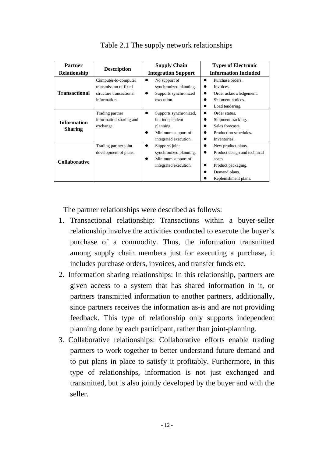| <b>Partner</b><br><b>Relationship</b> | <b>Description</b>                                                                       | <b>Supply Chain</b><br><b>Integration Support</b>                                                     | <b>Types of Electronic</b><br><b>Information Included</b>                                                                   |
|---------------------------------------|------------------------------------------------------------------------------------------|-------------------------------------------------------------------------------------------------------|-----------------------------------------------------------------------------------------------------------------------------|
| <b>Transactional</b>                  | Computer-to-computer<br>transmission of fixed<br>structure transactional<br>information. | No support of<br>●<br>synchronized planning.<br>Supports synchronized<br>execution.                   | Purchase orders.<br>Invoices.<br>Order acknowledgement.<br>Shipment notices.<br>Load tendering.                             |
| <b>Information</b><br><b>Sharing</b>  | Trading partner<br>information-sharing and<br>exchange.                                  | Supports synchronized,<br>but independent<br>planning.<br>Minimum support of<br>integrated execution. | Order status.<br>$\bullet$<br>Shipment tracking.<br>Sales forecasts.<br>Production schedules.<br>Inventories.               |
| <b>Collaborative</b>                  | Trading partner joint<br>development of plans.                                           | Supports joint<br>synchronized planning.<br>Minimum support of<br>integrated execution.               | New product plans.<br>Product design and technical<br>specs.<br>Product packaging.<br>Demand plans.<br>Replenishment plans. |

Table 2.1 The supply network relationships

The partner relationships were described as follows:

- 1. Transactional relationship: Transactions within a buyer-seller relationship involve the activities conducted to execute the buyer's purchase of a commodity. Thus, the information transmitted among supply chain members just for executing a purchase, it includes purchase orders, invoices, and transfer funds etc.
- 2. Information sharing relationships: In this relationship, partners are given access to a system that has shared information in it, or partners transmitted information to another partners, additionally, since partners receives the information as-is and are not providing feedback. This type of relationship only supports independent planning done by each participant, rather than joint-planning.
- 3. Collaborative relationships: Collaborative efforts enable trading partners to work together to better understand future demand and to put plans in place to satisfy it profitably. Furthermore, in this type of relationships, information is not just exchanged and transmitted, but is also jointly developed by the buyer and with the seller.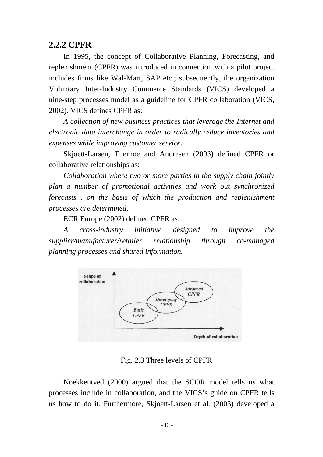#### **2.2.2 CPFR**

In 1995, the concept of Collaborative Planning, Forecasting, and replenishment (CPFR) was introduced in connection with a pilot project includes firms like Wal-Mart, SAP etc.; subsequently, the organization Voluntary Inter-Industry Commerce Standards (VICS) developed a nine-step processes model as a guideline for CPFR collaboration (VICS, 2002). VICS defines CPFR as:

*A collection of new business practices that leverage the Internet and electronic data interchange in order to radically reduce inventories and expenses while improving customer service.* 

Skjoett-Larsen, Thernoe and Andresen (2003) defined CPFR or collaborative relationships as:

*Collaboration where two or more parties in the supply chain jointly plan a number of promotional activities and work out synchronized forecasts , on the basis of which the production and replenishment processes are determined*.

ECR Europe (2002) defined CPFR as:

*A cross-industry initiative designed to improve the supplier/manufacturer/retailer relationship through co-managed planning processes and shared information.* 



Fig. 2.3 Three levels of CPFR

Noekkentved (2000) argued that the SCOR model tells us what processes include in collaboration, and the VICS's guide on CPFR tells us how to do it. Furthermore, Skjoett-Larsen et al. (2003) developed a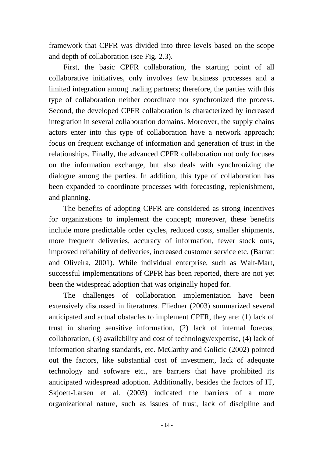framework that CPFR was divided into three levels based on the scope and depth of collaboration (see Fig. 2.3).

First, the basic CPFR collaboration, the starting point of all collaborative initiatives, only involves few business processes and a limited integration among trading partners; therefore, the parties with this type of collaboration neither coordinate nor synchronized the process. Second, the developed CPFR collaboration is characterized by increased integration in several collaboration domains. Moreover, the supply chains actors enter into this type of collaboration have a network approach; focus on frequent exchange of information and generation of trust in the relationships. Finally, the advanced CPFR collaboration not only focuses on the information exchange, but also deals with synchronizing the dialogue among the parties. In addition, this type of collaboration has been expanded to coordinate processes with forecasting, replenishment, and planning.

The benefits of adopting CPFR are considered as strong incentives for organizations to implement the concept; moreover, these benefits include more predictable order cycles, reduced costs, smaller shipments, more frequent deliveries, accuracy of information, fewer stock outs, improved reliability of deliveries, increased customer service etc. (Barratt and Oliveira, 2001). While individual enterprise, such as Walt-Mart, successful implementations of CPFR has been reported, there are not yet been the widespread adoption that was originally hoped for.

The challenges of collaboration implementation have been extensively discussed in literatures. Fliedner (2003) summarized several anticipated and actual obstacles to implement CPFR, they are: (1) lack of trust in sharing sensitive information, (2) lack of internal forecast collaboration, (3) availability and cost of technology/expertise, (4) lack of information sharing standards, etc. McCarthy and Golicic (2002) pointed out the factors, like substantial cost of investment, lack of adequate technology and software etc., are barriers that have prohibited its anticipated widespread adoption. Additionally, besides the factors of IT, Skjoett-Larsen et al. (2003) indicated the barriers of a more organizational nature, such as issues of trust, lack of discipline and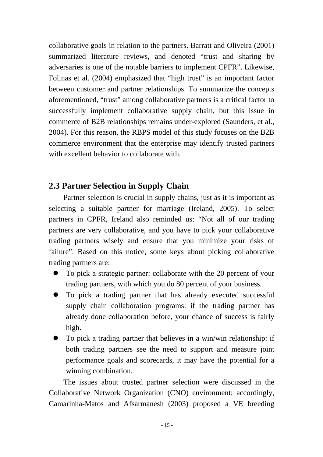collaborative goals in relation to the partners. Barratt and Oliveira (2001) summarized literature reviews, and denoted "trust and sharing by adversaries is one of the notable barriers to implement CPFR". Likewise, Folinas et al. (2004) emphasized that "high trust" is an important factor between customer and partner relationships. To summarize the concepts aforementioned, "trust" among collaborative partners is a critical factor to successfully implement collaborative supply chain, but this issue in commerce of B2B relationships remains under-explored (Saunders, et al., 2004). For this reason, the RBPS model of this study focuses on the B2B commerce environment that the enterprise may identify trusted partners with excellent behavior to collaborate with.

# **2.3 Partner Selection in Supply Chain**

Partner selection is crucial in supply chains, just as it is important as selecting a suitable partner for marriage (Ireland, 2005). To select partners in CPFR, Ireland also reminded us: "Not all of our trading partners are very collaborative, and you have to pick your collaborative trading partners wisely and ensure that you minimize your risks of failure". Based on this notice, some keys about picking collaborative trading partners are:

- To pick a strategic partner: collaborate with the 20 percent of your trading partners, with which you do 80 percent of your business.
- To pick a trading partner that has already executed successful supply chain collaboration programs: if the trading partner has already done collaboration before, your chance of success is fairly high.
- $\bullet$  To pick a trading partner that believes in a win/win relationship: if both trading partners see the need to support and measure joint performance goals and scorecards, it may have the potential for a winning combination.

The issues about trusted partner selection were discussed in the Collaborative Network Organization (CNO) environment; accordingly, Camarinha-Matos and Afsarmanesh (2003) proposed a VE breeding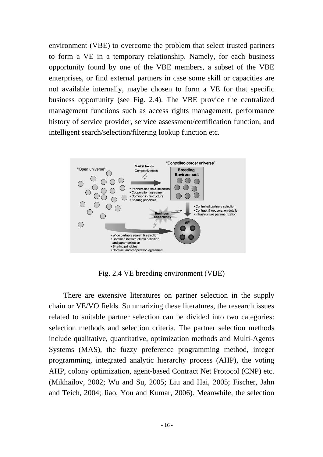environment (VBE) to overcome the problem that select trusted partners to form a VE in a temporary relationship. Namely, for each business opportunity found by one of the VBE members, a subset of the VBE enterprises, or find external partners in case some skill or capacities are not available internally, maybe chosen to form a VE for that specific business opportunity (see Fig. 2.4). The VBE provide the centralized management functions such as access rights management, performance history of service provider, service assessment/certification function, and intelligent search/selection/filtering lookup function etc.



Fig. 2.4 VE breeding environment (VBE)

There are extensive literatures on partner selection in the supply chain or VE/VO fields. Summarizing these literatures, the research issues related to suitable partner selection can be divided into two categories: selection methods and selection criteria. The partner selection methods include qualitative, quantitative, optimization methods and Multi-Agents Systems (MAS), the fuzzy preference programming method, integer programming, integrated analytic hierarchy process (AHP), the voting AHP, colony optimization, agent-based Contract Net Protocol (CNP) etc. (Mikhailov, 2002; Wu and Su, 2005; Liu and Hai, 2005; Fischer, Jahn and Teich, 2004; Jiao, You and Kumar, 2006). Meanwhile, the selection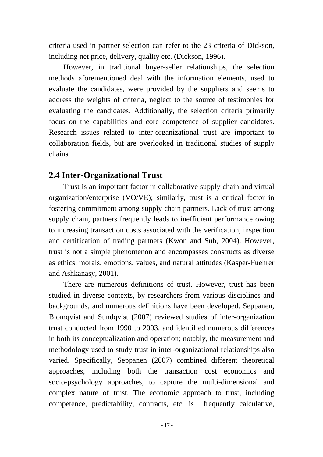criteria used in partner selection can refer to the 23 criteria of Dickson, including net price, delivery, quality etc. (Dickson, 1996).

However, in traditional buyer-seller relationships, the selection methods aforementioned deal with the information elements, used to evaluate the candidates, were provided by the suppliers and seems to address the weights of criteria, neglect to the source of testimonies for evaluating the candidates. Additionally, the selection criteria primarily focus on the capabilities and core competence of supplier candidates. Research issues related to inter-organizational trust are important to collaboration fields, but are overlooked in traditional studies of supply chains.

## **2.4 Inter-Organizational Trust**

Trust is an important factor in collaborative supply chain and virtual organization/enterprise (VO/VE); similarly, trust is a critical factor in fostering commitment among supply chain partners. Lack of trust among supply chain, partners frequently leads to inefficient performance owing to increasing transaction costs associated with the verification, inspection and certification of trading partners (Kwon and Suh, 2004). However, trust is not a simple phenomenon and encompasses constructs as diverse as ethics, morals, emotions, values, and natural attitudes (Kasper-Fuehrer and Ashkanasy, 2001).

There are numerous definitions of trust. However, trust has been studied in diverse contexts, by researchers from various disciplines and backgrounds, and numerous definitions have been developed. Seppanen, Blomqvist and Sundqvist (2007) reviewed studies of inter-organization trust conducted from 1990 to 2003, and identified numerous differences in both its conceptualization and operation; notably, the measurement and methodology used to study trust in inter-organizational relationships also varied. Specifically, Seppanen (2007) combined different theoretical approaches, including both the transaction cost economics and socio-psychology approaches, to capture the multi-dimensional and complex nature of trust. The economic approach to trust, including competence, predictability, contracts, etc, is frequently calculative,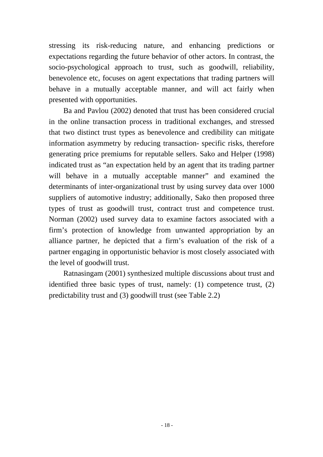stressing its risk-reducing nature, and enhancing predictions or expectations regarding the future behavior of other actors. In contrast, the socio-psychological approach to trust, such as goodwill, reliability, benevolence etc, focuses on agent expectations that trading partners will behave in a mutually acceptable manner, and will act fairly when presented with opportunities.

Ba and Pavlou (2002) denoted that trust has been considered crucial in the online transaction process in traditional exchanges, and stressed that two distinct trust types as benevolence and credibility can mitigate information asymmetry by reducing transaction- specific risks, therefore generating price premiums for reputable sellers. Sako and Helper (1998) indicated trust as "an expectation held by an agent that its trading partner will behave in a mutually acceptable manner" and examined the determinants of inter-organizational trust by using survey data over 1000 suppliers of automotive industry; additionally, Sako then proposed three types of trust as goodwill trust, contract trust and competence trust. Norman (2002) used survey data to examine factors associated with a firm's protection of knowledge from unwanted appropriation by an alliance partner, he depicted that a firm's evaluation of the risk of a partner engaging in opportunistic behavior is most closely associated with the level of goodwill trust.

Ratnasingam (2001) synthesized multiple discussions about trust and identified three basic types of trust, namely: (1) competence trust, (2) predictability trust and (3) goodwill trust (see Table 2.2)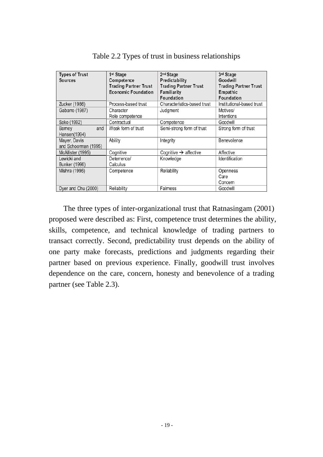| <b>Types of Trust</b><br>Sources     | 1 <sup>st</sup> Stage<br>Competence<br><b>Trading Partner Trust</b><br><b>Economic Foundation</b> | 2 <sup>nd</sup> Stage<br>Predictability<br><b>Trading Partner Trust</b><br>Familiarity<br>Foundation | 3rd Stage<br>Goodwill<br><b>Trading Partner Trust</b><br>Empathic<br>Foundation |
|--------------------------------------|---------------------------------------------------------------------------------------------------|------------------------------------------------------------------------------------------------------|---------------------------------------------------------------------------------|
| Zucker (1986)                        | Process-based trust                                                                               | Characteristics-based trust                                                                          | Institutional-based trust                                                       |
| Gabarro (1987)                       | Character<br>Role competence                                                                      | Judgment                                                                                             | Motives/<br>Intentions                                                          |
| Sako (1992)                          | Contractual                                                                                       | Competence                                                                                           | Goodwill                                                                        |
| and<br>Barney<br>Hansen(1994)        | Weak form of trust                                                                                | Semi-strong form of trust                                                                            | Strong form of trust                                                            |
| Mayer, Davis<br>and Schoorman (1995) | Ability                                                                                           | Integrity                                                                                            | Benevolence                                                                     |
| McAllister (1995)                    | Cognitive                                                                                         | Cognitive $\rightarrow$ affective                                                                    | Affective                                                                       |
| Lewicki and<br>Bunker (1996)         | Deterrence/<br>Calculus                                                                           | Knowledge                                                                                            | Identification                                                                  |
| Mishra (1996)                        | Competence                                                                                        | Reliability                                                                                          | Openness<br>Care<br>Concern                                                     |
| Dyer and Chu (2000)                  | Reliability                                                                                       | Fairness                                                                                             | Goodwill                                                                        |

Table 2.2 Types of trust in business relationships

The three types of inter-organizational trust that Ratnasingam (2001) proposed were described as: First, competence trust determines the ability, skills, competence, and technical knowledge of trading partners to transact correctly. Second, predictability trust depends on the ability of one party make forecasts, predictions and judgments regarding their partner based on previous experience. Finally, goodwill trust involves dependence on the care, concern, honesty and benevolence of a trading partner (see Table 2.3).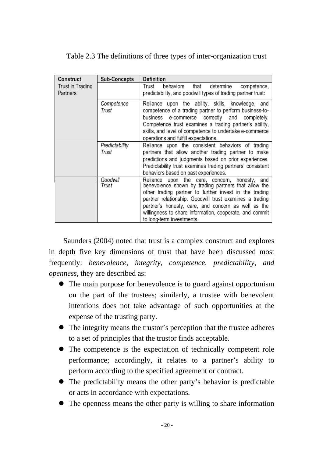| Construct                    | Sub-Concepts            | Definition                                                                                                                                                                                                                                                                                                                                                                |
|------------------------------|-------------------------|---------------------------------------------------------------------------------------------------------------------------------------------------------------------------------------------------------------------------------------------------------------------------------------------------------------------------------------------------------------------------|
| Trust in Trading<br>Partners |                         | behaviors that determine<br>Trust<br>competence,<br>predictability, and goodwill types of trading partner trust:                                                                                                                                                                                                                                                          |
|                              | Competence<br>Trust     | Reliance upon the ability, skills, knowledge, and<br>competence of a trading partner to perform business-to-<br>business e-commerce correctly and completely.<br>Competence trust examines a trading partner's ability,<br>skills, and level of competence to undertake e-commerce<br>operations and fulfill expectations.                                                |
|                              | Predictability<br>Trust | Reliance upon the consistent behaviors of trading<br>partners that allow another trading partner to make<br>predictions and judgments based on prior experiences.<br>Predictability trust examines trading partners' consistent<br>behaviors based on past experiences.                                                                                                   |
|                              | Goodwill<br>Trust       | Reliance upon the care, concern, honesty, and<br>benevolence shown by trading partners that allow the<br>other trading partner to further invest in the trading<br>partner relationship. Goodwill trust examines a trading<br>partner's honesty, care, and concern as well as the<br>willingness to share information, cooperate, and commit<br>to long-term investments. |

#### Table 2.3 The definitions of three types of inter-organization trust

Saunders (2004) noted that trust is a complex construct and explores in depth five key dimensions of trust that have been discussed most frequently: *benevolence, integrity, competence, predictability, and openness*, they are described as:

- The main purpose for benevolence is to guard against opportunism on the part of the trustees; similarly, a trustee with benevolent intentions does not take advantage of such opportunities at the expense of the trusting party.
- The integrity means the trustor's perception that the trustee adheres to a set of principles that the trustor finds acceptable.
- The competence is the expectation of technically competent role performance; accordingly, it relates to a partner's ability to perform according to the specified agreement or contract.
- The predictability means the other party's behavior is predictable or acts in accordance with expectations.
- The openness means the other party is willing to share information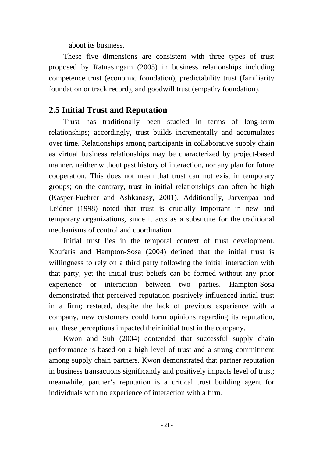about its business.

These five dimensions are consistent with three types of trust proposed by Ratnasingam (2005) in business relationships including competence trust (economic foundation), predictability trust (familiarity foundation or track record), and goodwill trust (empathy foundation).

### **2.5 Initial Trust and Reputation**

Trust has traditionally been studied in terms of long-term relationships; accordingly, trust builds incrementally and accumulates over time. Relationships among participants in collaborative supply chain as virtual business relationships may be characterized by project-based manner, neither without past history of interaction, nor any plan for future cooperation. This does not mean that trust can not exist in temporary groups; on the contrary, trust in initial relationships can often be high (Kasper-Fuehrer and Ashkanasy, 2001). Additionally, Jarvenpaa and Leidner (1998) noted that trust is crucially important in new and temporary organizations, since it acts as a substitute for the traditional mechanisms of control and coordination.

Initial trust lies in the temporal context of trust development. Koufaris and Hampton-Sosa (2004) defined that the initial trust is willingness to rely on a third party following the initial interaction with that party, yet the initial trust beliefs can be formed without any prior experience or interaction between two parties. Hampton-Sosa demonstrated that perceived reputation positively influenced initial trust in a firm; restated, despite the lack of previous experience with a company, new customers could form opinions regarding its reputation, and these perceptions impacted their initial trust in the company.

Kwon and Suh (2004) contended that successful supply chain performance is based on a high level of trust and a strong commitment among supply chain partners. Kwon demonstrated that partner reputation in business transactions significantly and positively impacts level of trust; meanwhile, partner's reputation is a critical trust building agent for individuals with no experience of interaction with a firm.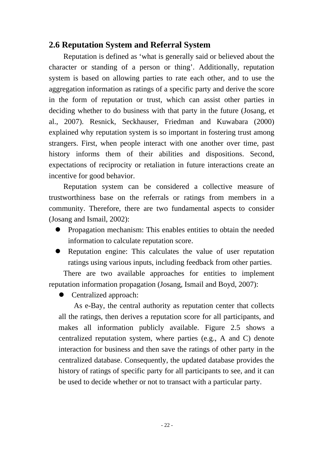## **2.6 Reputation System and Referral System**

Reputation is defined as 'what is generally said or believed about the character or standing of a person or thing'. Additionally, reputation system is based on allowing parties to rate each other, and to use the aggregation information as ratings of a specific party and derive the score in the form of reputation or trust, which can assist other parties in deciding whether to do business with that party in the future (Josang, et al., 2007). Resnick, Seckhauser, Friedman and Kuwabara (2000) explained why reputation system is so important in fostering trust among strangers. First, when people interact with one another over time, past history informs them of their abilities and dispositions. Second, expectations of reciprocity or retaliation in future interactions create an incentive for good behavior.

Reputation system can be considered a collective measure of trustworthiness base on the referrals or ratings from members in a community. Therefore, there are two fundamental aspects to consider (Josang and Ismail, 2002):

- Propagation mechanism: This enables entities to obtain the needed information to calculate reputation score.
- Reputation engine: This calculates the value of user reputation ratings using various inputs, including feedback from other parties.

There are two available approaches for entities to implement reputation information propagation (Josang, Ismail and Boyd, 2007):

 $\bullet$  Centralized approach:

As e-Bay, the central authority as reputation center that collects all the ratings, then derives a reputation score for all participants, and makes all information publicly available. Figure 2.5 shows a centralized reputation system, where parties (e.g., A and C) denote interaction for business and then save the ratings of other party in the centralized database. Consequently, the updated database provides the history of ratings of specific party for all participants to see, and it can be used to decide whether or not to transact with a particular party.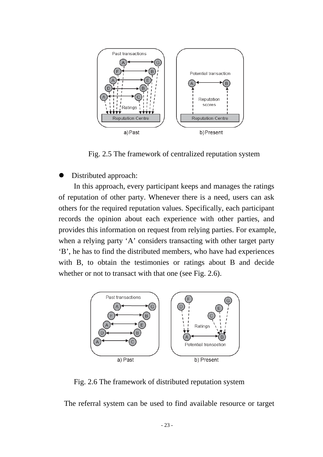

Fig. 2.5 The framework of centralized reputation system

Distributed approach:

In this approach, every participant keeps and manages the ratings of reputation of other party. Whenever there is a need, users can ask others for the required reputation values. Specifically, each participant records the opinion about each experience with other parties, and provides this information on request from relying parties. For example, when a relying party 'A' considers transacting with other target party 'B', he has to find the distributed members, who have had experiences with B, to obtain the testimonies or ratings about B and decide whether or not to transact with that one (see Fig. 2.6).



Fig. 2.6 The framework of distributed reputation system

The referral system can be used to find available resource or target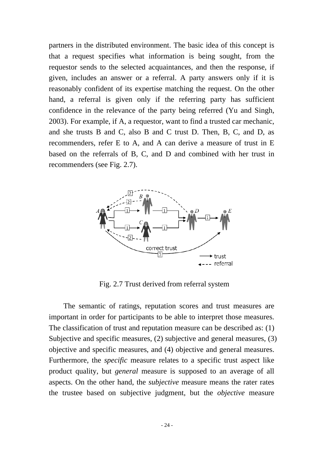partners in the distributed environment. The basic idea of this concept is that a request specifies what information is being sought, from the requestor sends to the selected acquaintances, and then the response, if given, includes an answer or a referral. A party answers only if it is reasonably confident of its expertise matching the request. On the other hand, a referral is given only if the referring party has sufficient confidence in the relevance of the party being referred (Yu and Singh, 2003). For example, if A, a requestor, want to find a trusted car mechanic, and she trusts B and C, also B and C trust D. Then, B, C, and D, as recommenders, refer E to A, and A can derive a measure of trust in E based on the referrals of B, C, and D and combined with her trust in recommenders (see Fig. 2.7).



Fig. 2.7 Trust derived from referral system

The semantic of ratings, reputation scores and trust measures are important in order for participants to be able to interpret those measures. The classification of trust and reputation measure can be described as: (1) Subjective and specific measures, (2) subjective and general measures, (3) objective and specific measures, and (4) objective and general measures. Furthermore, the *specific* measure relates to a specific trust aspect like product quality, but *general* measure is supposed to an average of all aspects. On the other hand, the *subjective* measure means the rater rates the trustee based on subjective judgment, but the *objective* measure